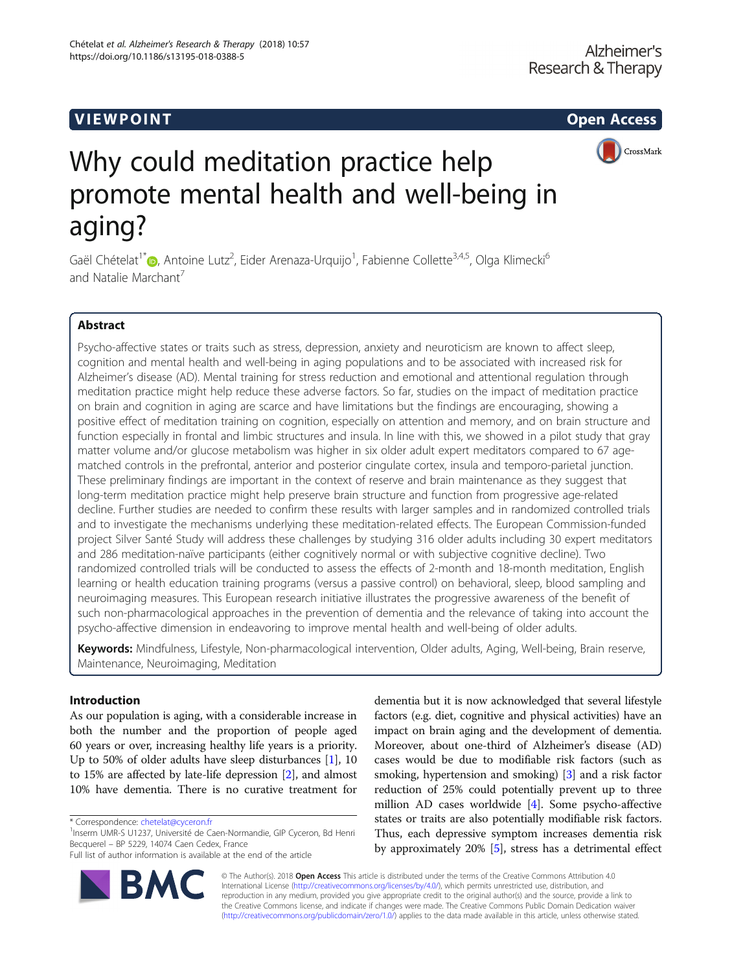# **VIEWPOINT Open Access**



# Why could meditation practice help promote mental health and well-being in aging?

Gaël Chételat<sup>1\*</sup>®, Antoine Lutz<sup>2</sup>, Eider Arenaza-Urquijo<sup>1</sup>, Fabienne Collette<sup>3,4,5</sup>, Olga Klimecki<sup>6</sup> and Natalie Marchant<sup>7</sup>

# Abstract

Psycho-affective states or traits such as stress, depression, anxiety and neuroticism are known to affect sleep, cognition and mental health and well-being in aging populations and to be associated with increased risk for Alzheimer's disease (AD). Mental training for stress reduction and emotional and attentional regulation through meditation practice might help reduce these adverse factors. So far, studies on the impact of meditation practice on brain and cognition in aging are scarce and have limitations but the findings are encouraging, showing a positive effect of meditation training on cognition, especially on attention and memory, and on brain structure and function especially in frontal and limbic structures and insula. In line with this, we showed in a pilot study that gray matter volume and/or glucose metabolism was higher in six older adult expert meditators compared to 67 agematched controls in the prefrontal, anterior and posterior cingulate cortex, insula and temporo-parietal junction. These preliminary findings are important in the context of reserve and brain maintenance as they suggest that long-term meditation practice might help preserve brain structure and function from progressive age-related decline. Further studies are needed to confirm these results with larger samples and in randomized controlled trials and to investigate the mechanisms underlying these meditation-related effects. The European Commission-funded project Silver Santé Study will address these challenges by studying 316 older adults including 30 expert meditators and 286 meditation-naïve participants (either cognitively normal or with subjective cognitive decline). Two randomized controlled trials will be conducted to assess the effects of 2-month and 18-month meditation, English learning or health education training programs (versus a passive control) on behavioral, sleep, blood sampling and neuroimaging measures. This European research initiative illustrates the progressive awareness of the benefit of such non-pharmacological approaches in the prevention of dementia and the relevance of taking into account the psycho-affective dimension in endeavoring to improve mental health and well-being of older adults.

Keywords: Mindfulness, Lifestyle, Non-pharmacological intervention, Older adults, Aging, Well-being, Brain reserve, Maintenance, Neuroimaging, Meditation

# Introduction

As our population is aging, with a considerable increase in both the number and the proportion of people aged 60 years or over, increasing healthy life years is a priority. Up to 50% of older adults have sleep disturbances [\[1](#page-2-0)], 10 to 15% are affected by late-life depression [\[2](#page-2-0)], and almost 10% have dementia. There is no curative treatment for

Full list of author information is available at the end of the article



dementia but it is now acknowledged that several lifestyle factors (e.g. diet, cognitive and physical activities) have an impact on brain aging and the development of dementia. Moreover, about one-third of Alzheimer's disease (AD) cases would be due to modifiable risk factors (such as smoking, hypertension and smoking) [[3\]](#page-2-0) and a risk factor reduction of 25% could potentially prevent up to three million AD cases worldwide [\[4](#page-2-0)]. Some psycho-affective states or traits are also potentially modifiable risk factors. Thus, each depressive symptom increases dementia risk by approximately 20% [\[5\]](#page-2-0), stress has a detrimental effect

© The Author(s). 2018 Open Access This article is distributed under the terms of the Creative Commons Attribution 4.0 International License [\(http://creativecommons.org/licenses/by/4.0/](http://creativecommons.org/licenses/by/4.0/)), which permits unrestricted use, distribution, and reproduction in any medium, provided you give appropriate credit to the original author(s) and the source, provide a link to the Creative Commons license, and indicate if changes were made. The Creative Commons Public Domain Dedication waiver [\(http://creativecommons.org/publicdomain/zero/1.0/](http://creativecommons.org/publicdomain/zero/1.0/)) applies to the data made available in this article, unless otherwise stated.

<sup>\*</sup> Correspondence: [chetelat@cyceron.fr](mailto:chetelat@cyceron.fr) <sup>1</sup>

<sup>&</sup>lt;sup>1</sup>Inserm UMR-S U1237, Université de Caen-Normandie, GIP Cyceron, Bd Henri Becquerel – BP 5229, 14074 Caen Cedex, France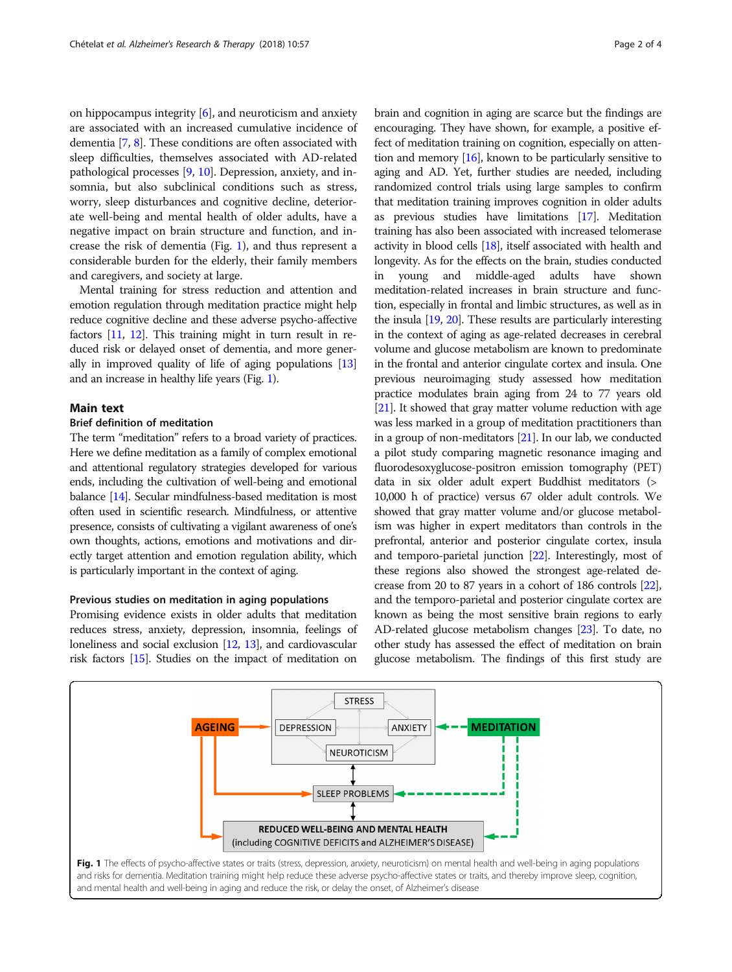on hippocampus integrity [[6\]](#page-2-0), and neuroticism and anxiety are associated with an increased cumulative incidence of dementia [\[7](#page-2-0), [8\]](#page-2-0). These conditions are often associated with sleep difficulties, themselves associated with AD-related pathological processes [[9](#page-2-0), [10\]](#page-2-0). Depression, anxiety, and insomnia, but also subclinical conditions such as stress, worry, sleep disturbances and cognitive decline, deteriorate well-being and mental health of older adults, have a negative impact on brain structure and function, and increase the risk of dementia (Fig. 1), and thus represent a considerable burden for the elderly, their family members and caregivers, and society at large.

Mental training for stress reduction and attention and emotion regulation through meditation practice might help reduce cognitive decline and these adverse psycho-affective factors [\[11](#page-2-0), [12](#page-2-0)]. This training might in turn result in reduced risk or delayed onset of dementia, and more generally in improved quality of life of aging populations [\[13](#page-2-0)] and an increase in healthy life years (Fig. 1).

# Main text

## Brief definition of meditation

The term "meditation" refers to a broad variety of practices. Here we define meditation as a family of complex emotional and attentional regulatory strategies developed for various ends, including the cultivation of well-being and emotional balance [\[14](#page-2-0)]. Secular mindfulness-based meditation is most often used in scientific research. Mindfulness, or attentive presence, consists of cultivating a vigilant awareness of one's own thoughts, actions, emotions and motivations and directly target attention and emotion regulation ability, which is particularly important in the context of aging.

#### Previous studies on meditation in aging populations

Promising evidence exists in older adults that meditation reduces stress, anxiety, depression, insomnia, feelings of loneliness and social exclusion [\[12](#page-2-0), [13](#page-2-0)], and cardiovascular risk factors [[15\]](#page-2-0). Studies on the impact of meditation on

brain and cognition in aging are scarce but the findings are encouraging. They have shown, for example, a positive effect of meditation training on cognition, especially on attention and memory  $[16]$  $[16]$  $[16]$ , known to be particularly sensitive to aging and AD. Yet, further studies are needed, including randomized control trials using large samples to confirm that meditation training improves cognition in older adults as previous studies have limitations [\[17\]](#page-3-0). Meditation training has also been associated with increased telomerase activity in blood cells [[18](#page-3-0)], itself associated with health and longevity. As for the effects on the brain, studies conducted in young and middle-aged adults have shown meditation-related increases in brain structure and function, especially in frontal and limbic structures, as well as in the insula [\[19](#page-3-0), [20\]](#page-3-0). These results are particularly interesting in the context of aging as age-related decreases in cerebral volume and glucose metabolism are known to predominate in the frontal and anterior cingulate cortex and insula. One previous neuroimaging study assessed how meditation practice modulates brain aging from 24 to 77 years old [[21](#page-3-0)]. It showed that gray matter volume reduction with age was less marked in a group of meditation practitioners than in a group of non-meditators [[21](#page-3-0)]. In our lab, we conducted a pilot study comparing magnetic resonance imaging and fluorodesoxyglucose-positron emission tomography (PET) data in six older adult expert Buddhist meditators (> 10,000 h of practice) versus 67 older adult controls. We showed that gray matter volume and/or glucose metabolism was higher in expert meditators than controls in the prefrontal, anterior and posterior cingulate cortex, insula and temporo-parietal junction [\[22\]](#page-3-0). Interestingly, most of these regions also showed the strongest age-related decrease from 20 to 87 years in a cohort of 186 controls [\[22](#page-3-0)], and the temporo-parietal and posterior cingulate cortex are known as being the most sensitive brain regions to early AD-related glucose metabolism changes [\[23\]](#page-3-0). To date, no other study has assessed the effect of meditation on brain glucose metabolism. The findings of this first study are

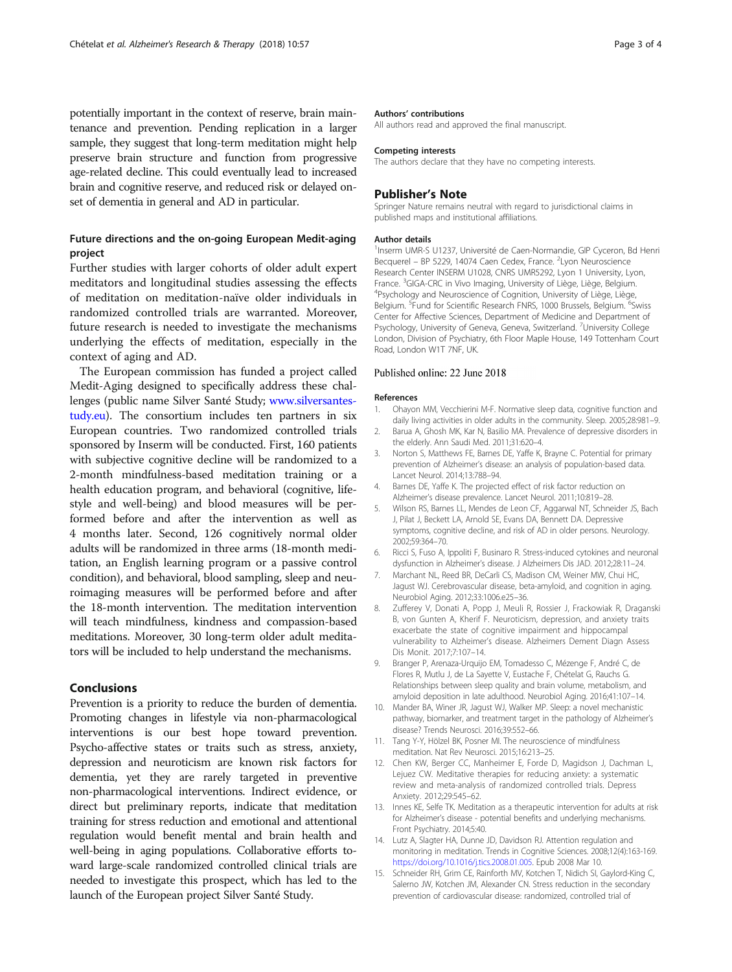<span id="page-2-0"></span>potentially important in the context of reserve, brain maintenance and prevention. Pending replication in a larger sample, they suggest that long-term meditation might help preserve brain structure and function from progressive age-related decline. This could eventually lead to increased brain and cognitive reserve, and reduced risk or delayed onset of dementia in general and AD in particular.

# Future directions and the on-going European Medit-aging project

Further studies with larger cohorts of older adult expert meditators and longitudinal studies assessing the effects of meditation on meditation-naïve older individuals in randomized controlled trials are warranted. Moreover, future research is needed to investigate the mechanisms underlying the effects of meditation, especially in the context of aging and AD.

The European commission has funded a project called Medit-Aging designed to specifically address these challenges (public name Silver Santé Study; [www.silversantes](http://www.silversantestudy.eu)[tudy.eu](http://www.silversantestudy.eu)). The consortium includes ten partners in six European countries. Two randomized controlled trials sponsored by Inserm will be conducted. First, 160 patients with subjective cognitive decline will be randomized to a 2-month mindfulness-based meditation training or a health education program, and behavioral (cognitive, lifestyle and well-being) and blood measures will be performed before and after the intervention as well as 4 months later. Second, 126 cognitively normal older adults will be randomized in three arms (18-month meditation, an English learning program or a passive control condition), and behavioral, blood sampling, sleep and neuroimaging measures will be performed before and after the 18-month intervention. The meditation intervention will teach mindfulness, kindness and compassion-based meditations. Moreover, 30 long-term older adult meditators will be included to help understand the mechanisms.

## Conclusions

Prevention is a priority to reduce the burden of dementia. Promoting changes in lifestyle via non-pharmacological interventions is our best hope toward prevention. Psycho-affective states or traits such as stress, anxiety, depression and neuroticism are known risk factors for dementia, yet they are rarely targeted in preventive non-pharmacological interventions. Indirect evidence, or direct but preliminary reports, indicate that meditation training for stress reduction and emotional and attentional regulation would benefit mental and brain health and well-being in aging populations. Collaborative efforts toward large-scale randomized controlled clinical trials are needed to investigate this prospect, which has led to the launch of the European project Silver Santé Study.

#### Authors' contributions

All authors read and approved the final manuscript.

#### Competing interests

The authors declare that they have no competing interests.

#### Publisher's Note

Springer Nature remains neutral with regard to jurisdictional claims in published maps and institutional affiliations.

#### Author details

<sup>1</sup>Inserm UMR-S U1237, Université de Caen-Normandie, GIP Cyceron, Bd Henri Becquerel - BP 5229, 14074 Caen Cedex, France. <sup>2</sup>Lyon Neuroscience Research Center INSERM U1028, CNRS UMR5292, Lyon 1 University, Lyon, France. <sup>3</sup>GIGA-CRC in Vivo Imaging, University of Liège, Liège, Belgium.<br><sup>4</sup>Psychology and Neuroscience of Cognition, University of Liège, Liège Psychology and Neuroscience of Cognition, University of Liège, Liège, Belgium. <sup>S</sup>Fund for Scientific Research FNRS, 1000 Brussels, Belgium. <sup>6</sup>Swiss Center for Affective Sciences, Department of Medicine and Department of Psychology, University of Geneva, Geneva, Switzerland. <sup>7</sup>University College London, Division of Psychiatry, 6th Floor Maple House, 149 Tottenham Court Road, London W1T 7NF, UK.

#### Published online: 22 June 2018

#### References

- 1. Ohayon MM, Vecchierini M-F. Normative sleep data, cognitive function and daily living activities in older adults in the community. Sleep. 2005;28:981–9.
- Barua A, Ghosh MK, Kar N, Basilio MA. Prevalence of depressive disorders in the elderly. Ann Saudi Med. 2011;31:620–4.
- 3. Norton S, Matthews FE, Barnes DE, Yaffe K, Brayne C. Potential for primary prevention of Alzheimer's disease: an analysis of population-based data. Lancet Neurol. 2014;13:788–94.
- 4. Barnes DE, Yaffe K. The projected effect of risk factor reduction on Alzheimer's disease prevalence. Lancet Neurol. 2011;10:819–28.
- 5. Wilson RS, Barnes LL, Mendes de Leon CF, Aggarwal NT, Schneider JS, Bach J, Pilat J, Beckett LA, Arnold SE, Evans DA, Bennett DA. Depressive symptoms, cognitive decline, and risk of AD in older persons. Neurology. 2002;59:364–70.
- 6. Ricci S, Fuso A, Ippoliti F, Businaro R. Stress-induced cytokines and neuronal dysfunction in Alzheimer's disease. J Alzheimers Dis JAD. 2012;28:11–24.
- 7. Marchant NL, Reed BR, DeCarli CS, Madison CM, Weiner MW, Chui HC, Jagust WJ. Cerebrovascular disease, beta-amyloid, and cognition in aging. Neurobiol Aging. 2012;33:1006.e25–36.
- 8. Zufferey V, Donati A, Popp J, Meuli R, Rossier J, Frackowiak R, Draganski B, von Gunten A, Kherif F. Neuroticism, depression, and anxiety traits exacerbate the state of cognitive impairment and hippocampal vulnerability to Alzheimer's disease. Alzheimers Dement Diagn Assess Dis Monit. 2017;7:107–14.
- 9. Branger P, Arenaza-Urquijo EM, Tomadesso C, Mézenge F, André C, de Flores R, Mutlu J, de La Sayette V, Eustache F, Chételat G, Rauchs G. Relationships between sleep quality and brain volume, metabolism, and amyloid deposition in late adulthood. Neurobiol Aging. 2016;41:107–14.
- 10. Mander BA, Winer JR, Jagust WJ, Walker MP. Sleep: a novel mechanistic pathway, biomarker, and treatment target in the pathology of Alzheimer's disease? Trends Neurosci. 2016;39:552–66.
- 11. Tang Y-Y, Hölzel BK, Posner MI. The neuroscience of mindfulness meditation. Nat Rev Neurosci. 2015;16:213–25.
- 12. Chen KW, Berger CC, Manheimer E, Forde D, Magidson J, Dachman L, Lejuez CW. Meditative therapies for reducing anxiety: a systematic review and meta-analysis of randomized controlled trials. Depress Anxiety. 2012;29:545–62.
- 13. Innes KE, Selfe TK. Meditation as a therapeutic intervention for adults at risk for Alzheimer's disease - potential benefits and underlying mechanisms. Front Psychiatry. 2014;5:40.
- 14. Lutz A, Slagter HA, Dunne JD, Davidson RJ. Attention regulation and monitoring in meditation. Trends in Cognitive Sciences. 2008;12(4):163-169. <https://doi.org/10.1016/j.tics.2008.01.005>. Epub 2008 Mar 10.
- 15. Schneider RH, Grim CE, Rainforth MV, Kotchen T, Nidich SI, Gaylord-King C, Salerno JW, Kotchen JM, Alexander CN. Stress reduction in the secondary prevention of cardiovascular disease: randomized, controlled trial of